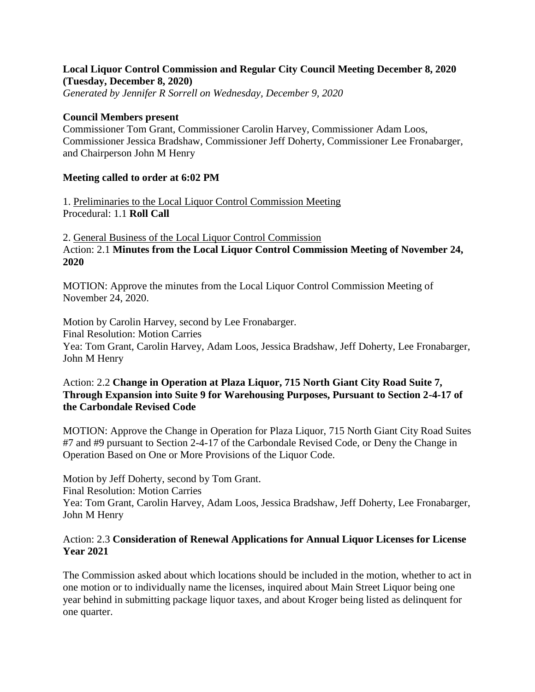## **Local Liquor Control Commission and Regular City Council Meeting December 8, 2020 (Tuesday, December 8, 2020)**

*Generated by Jennifer R Sorrell on Wednesday, December 9, 2020*

### **Council Members present**

Commissioner Tom Grant, Commissioner Carolin Harvey, Commissioner Adam Loos, Commissioner Jessica Bradshaw, Commissioner Jeff Doherty, Commissioner Lee Fronabarger, and Chairperson John M Henry

### **Meeting called to order at 6:02 PM**

1. Preliminaries to the Local Liquor Control Commission Meeting Procedural: 1.1 **Roll Call**

2. General Business of the Local Liquor Control Commission Action: 2.1 **Minutes from the Local Liquor Control Commission Meeting of November 24, 2020**

MOTION: Approve the minutes from the Local Liquor Control Commission Meeting of November 24, 2020.

Motion by Carolin Harvey, second by Lee Fronabarger. Final Resolution: Motion Carries Yea: Tom Grant, Carolin Harvey, Adam Loos, Jessica Bradshaw, Jeff Doherty, Lee Fronabarger, John M Henry

## Action: 2.2 **Change in Operation at Plaza Liquor, 715 North Giant City Road Suite 7, Through Expansion into Suite 9 for Warehousing Purposes, Pursuant to Section 2-4-17 of the Carbondale Revised Code**

MOTION: Approve the Change in Operation for Plaza Liquor, 715 North Giant City Road Suites #7 and #9 pursuant to Section 2-4-17 of the Carbondale Revised Code, or Deny the Change in Operation Based on One or More Provisions of the Liquor Code.

Motion by Jeff Doherty, second by Tom Grant. Final Resolution: Motion Carries Yea: Tom Grant, Carolin Harvey, Adam Loos, Jessica Bradshaw, Jeff Doherty, Lee Fronabarger, John M Henry

## Action: 2.3 **Consideration of Renewal Applications for Annual Liquor Licenses for License Year 2021**

The Commission asked about which locations should be included in the motion, whether to act in one motion or to individually name the licenses, inquired about Main Street Liquor being one year behind in submitting package liquor taxes, and about Kroger being listed as delinquent for one quarter.